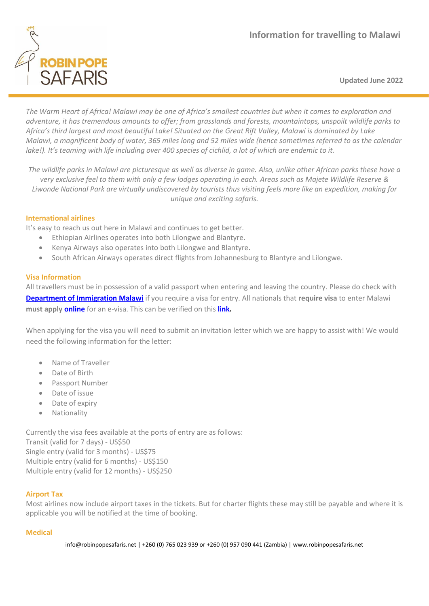

**Updated June 2022**

*The Warm Heart of Africa! Malawi may be one of Africa's smallest countries but when it comes to exploration and adventure, it has tremendous amounts to offer; from grasslands and forests, mountaintops, unspoilt wildlife parks to Africa's third largest and most beautiful Lake! Situated on the Great Rift Valley, Malawi is dominated by Lake Malawi, a magnificent body of water, 365 miles long and 52 miles wide (hence sometimes referred to as the calendar lake!). It's teaming with life including over 400 species of cichlid, a lot of which are endemic to it.*

*The wildlife parks in Malawi are picturesque as well as diverse in game. Also, unlike other African parks these have a very exclusive feel to them with only a few lodges operating in each. Areas such as Majete Wildlife Reserve & Liwonde National Park are virtually undiscovered by tourists thus visiting feels more like an expedition, making for unique and exciting safaris.*

## **International airlines**

It's easy to reach us out here in Malawi and continues to get better.

- Ethiopian Airlines operates into both Lilongwe and Blantyre.
- Kenya Airways also operates into both Lilongwe and Blantyre.
- South African Airways operates direct flights from Johannesburg to Blantyre and Lilongwe.

## **Visa Information**

All travellers must be in possession of a valid passport when entering and leaving the country. Please do check with **[Department of Immigration](https://www.immigration.gov.mw/visa/countries-whose-nationals-need-visa-when-coming-to-malawi/) Malawi** if you require a visa for entry. All nationals that **require visa** to enter Malawi **must apply [online](https://evisa.gov.mw/)** for an e-visa. This can be verified on this **[link.](https://evisa.gov.mw/VisaAssistance)**

When applying for the visa you will need to submit an invitation letter which we are happy to assist with! We would need the following information for the letter:

- Name of Traveller
- Date of Birth
- Passport Number
- Date of issue
- Date of expiry
- Nationality

Currently the visa fees available at the ports of entry are as follows: Transit (valid for 7 days) - US\$50 Single entry (valid for 3 months) - US\$75 Multiple entry (valid for 6 months) - US\$150 Multiple entry (valid for 12 months) - US\$250

# **Airport Tax**

Most airlines now include airport taxes in the tickets. But for charter flights these may still be payable and where it is applicable you will be notified at the time of booking.

### **Medical**

info@robinpopesafaris.net | +260 (0) 765 023 939 or +260 (0) 957 090 441 (Zambia) | www.robinpopesafaris.net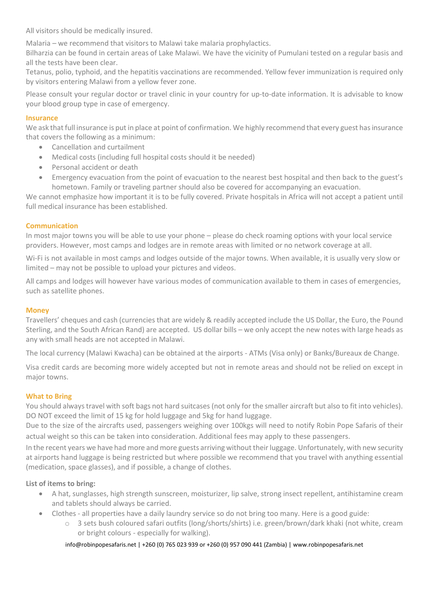All visitors should be medically insured.

Malaria – we recommend that visitors to Malawi take malaria prophylactics.

Bilharzia can be found in certain areas of Lake Malawi. We have the vicinity of Pumulani tested on a regular basis and all the tests have been clear.

Tetanus, polio, typhoid, and the hepatitis vaccinations are recommended. Yellow fever immunization is required only by visitors entering Malawi from a yellow fever zone.

Please consult your regular doctor or travel clinic in your country for up-to-date information. It is advisable to know your blood group type in case of emergency.

## **Insurance**

We ask that full insurance is put in place at point of confirmation. We highly recommend that every guest has insurance that covers the following as a minimum:

- Cancellation and curtailment
- Medical costs (including full hospital costs should it be needed)
- Personal accident or death
- Emergency evacuation from the point of evacuation to the nearest best hospital and then back to the guest's hometown. Family or traveling partner should also be covered for accompanying an evacuation.

We cannot emphasize how important it is to be fully covered. Private hospitals in Africa will not accept a patient until full medical insurance has been established.

## **Communication**

In most major towns you will be able to use your phone – please do check roaming options with your local service providers. However, most camps and lodges are in remote areas with limited or no network coverage at all.

Wi-Fi is not available in most camps and lodges outside of the major towns. When available, it is usually very slow or limited – may not be possible to upload your pictures and videos.

All camps and lodges will however have various modes of communication available to them in cases of emergencies, such as satellite phones.

### **Money**

Travellers' cheques and cash (currencies that are widely & readily accepted include the US Dollar, the Euro, the Pound Sterling, and the South African Rand) are accepted. US dollar bills – we only accept the new notes with large heads as any with small heads are not accepted in Malawi.

The local currency (Malawi Kwacha) can be obtained at the airports - ATMs (Visa only) or Banks/Bureaux de Change.

Visa credit cards are becoming more widely accepted but not in remote areas and should not be relied on except in major towns.

### **What to Bring**

You should always travel with soft bags not hard suitcases (not only for the smaller aircraft but also to fit into vehicles). DO NOT exceed the limit of 15 kg for hold luggage and 5kg for hand luggage.

Due to the size of the aircrafts used, passengers weighing over 100kgs will need to notify Robin Pope Safaris of their actual weight so this can be taken into consideration. Additional fees may apply to these passengers.

In the recent years we have had more and more guests arriving without their luggage. Unfortunately, with new security at airports hand luggage is being restricted but where possible we recommend that you travel with anything essential (medication, space glasses), and if possible, a change of clothes.

# **List of items to bring:**

- A hat, sunglasses, high strength sunscreen, moisturizer, lip salve, strong insect repellent, antihistamine cream and tablets should always be carried.
- Clothes all properties have a daily laundry service so do not bring too many. Here is a good guide:
	- 3 sets bush coloured safari outfits (long/shorts/shirts) i.e. green/brown/dark khaki (not white, cream or bright colours - especially for walking).

### info@robinpopesafaris.net | +260 (0) 765 023 939 or +260 (0) 957 090 441 (Zambia) | www.robinpopesafaris.net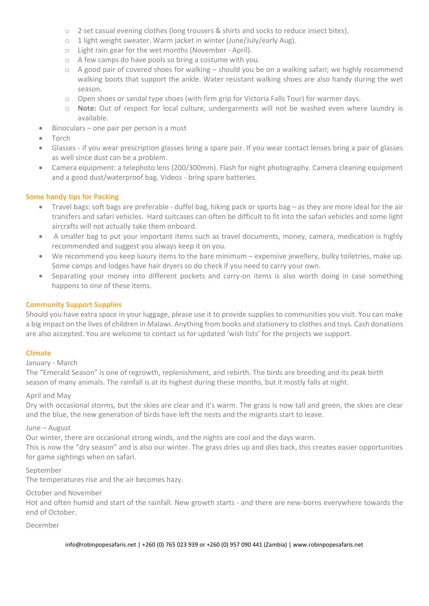- o 2 set casual evening clothes (long trousers & shirts and socks to reduce insect bites).
- o 1 light weight sweater. Warm jacket in winter (June/July/early Aug).
- o Light rain gear for the wet months (November April).
- o A few camps do have pools so bring a costume with you.
- $\circ$  A good pair of covered shoes for walking should you be on a walking safari; we highly recommend walking boots that support the ankle. Water resistant walking shoes are also handy during the wet season.
- o Open shoes or sandal type shoes (with firm grip for Victoria Falls Tour) for warmer days.
- o **Note:** Out of respect for local culture, undergarments will not be washed even where laundry is available.
- Binoculars one pair per person is a must
- Torch
- Glasses if you wear prescription glasses bring a spare pair. If you wear contact lenses bring a pair of glasses as well since dust can be a problem.
- Camera equipment: a telephoto lens (200/300mm). Flash for night photography. Camera cleaning equipment and a good dust/waterproof bag. Videos - bring spare batteries.

## **Some handy tips for Packing**

- Travel bags: soft bags are preferable duffel bag, hiking pack or sports bag as they are more ideal for the air transfers and safari vehicles. Hard suitcases can often be difficult to fit into the safari vehicles and some light aircrafts will not actually take them onboard.
- A smaller bag to put your important items such as travel documents, money, camera, medication is highly recommended and suggest you always keep it on you.
- We recommend you keep luxury items to the bare minimum expensive jewellery, bulky toiletries, make up. Some camps and lodges have hair dryers so do check if you need to carry your own.
- Separating your money into different pockets and carry-on items is also worth doing in case something happens to one of these items.

### **Community Support Supplies**

Should you have extra space in your luggage, please use it to provide supplies to communities you visit. You can make a big impact on the lives of children in Malawi. Anything from books and stationery to clothes and toys. Cash donations are also accepted. You are welcome to contact us for updated 'wish lists' for the projects we support.

### **Climate**

### January - March

The "Emerald Season" is one of regrowth, replenishment, and rebirth. The birds are breeding and its peak birth season of many animals. The rainfall is at its highest during these months, but it mostly falls at night.

### April and May

Dry with occasional storms, but the skies are clear and it's warm. The grass is now tall and green, the skies are clear and the blue, the new generation of birds have left the nests and the migrants start to leave.

### June – August

Our winter, there are occasional strong winds, and the nights are cool and the days warm.

This is now the "dry season" and is also our winter. The grass dries up and dies back, this creates easier opportunities for game sightings when on safari.

#### September

The temperatures rise and the air becomes hazy.

### October and November

Hot and often humid and start of the rainfall. New growth starts - and there are new-borns everywhere towards the end of October.

### December

info@robinpopesafaris.net | +260 (0) 765 023 939 or +260 (0) 957 090 441 (Zambia) | www.robinpopesafaris.net